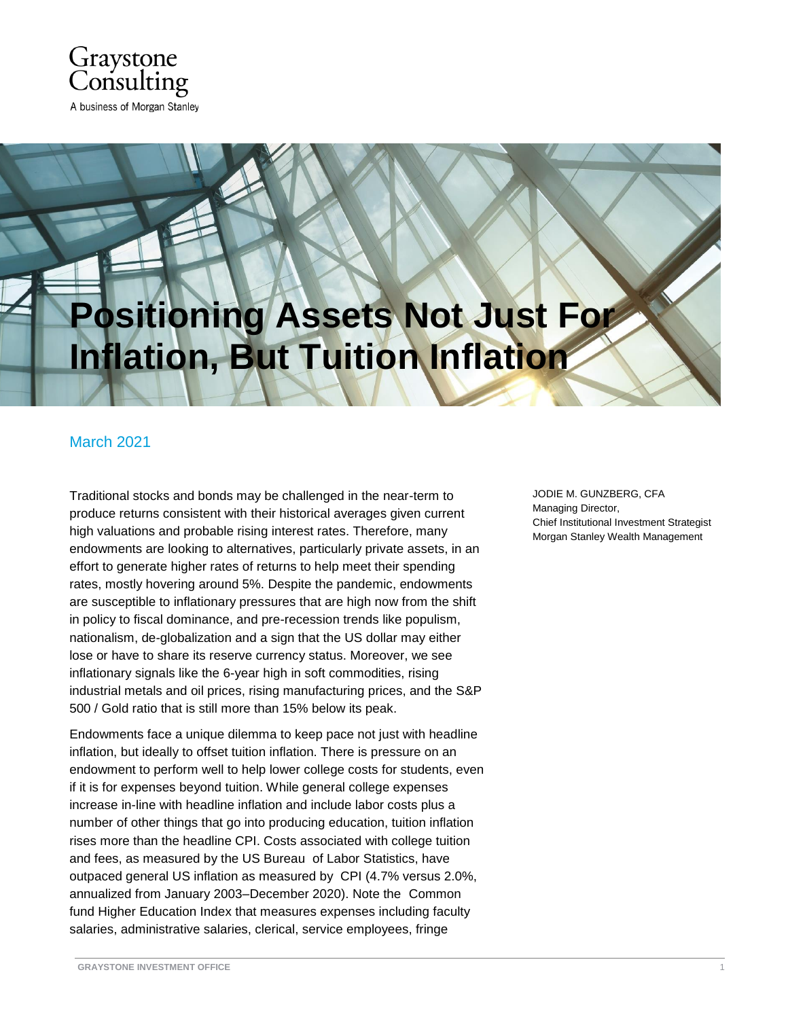

## **Positioning Assets Not Just For Inflation, But Tuition Inflation**

## March 2021

Traditional stocks and bonds may be challenged in the near-term to produce returns consistent with their historical averages given current high valuations and probable rising interest rates. Therefore, many endowments are looking to alternatives, particularly private assets, in an effort to generate higher rates of returns to help meet their spending rates, mostly hovering around 5%. Despite the pandemic, endowments are susceptible to inflationary pressures that are high now from the shift in policy to fiscal dominance, and pre-recession trends like populism, nationalism, de-globalization and a sign that the US dollar may either lose or have to share its reserve currency status. Moreover, we see inflationary signals like the 6-year high in soft commodities, rising industrial metals and oil prices, rising manufacturing prices, and the S&P 500 / Gold ratio that is still more than 15% below its peak.

Endowments face a unique dilemma to keep pace not just with headline inflation, but ideally to offset tuition inflation. There is pressure on an endowment to perform well to help lower college costs for students, even if it is for expenses beyond tuition. While general college expenses increase in-line with headline inflation and include labor costs plus a number of other things that go into producing education, tuition inflation rises more than the headline CPI. Costs associated with college tuition and fees, as measured by the US Bureau of Labor Statistics, have outpaced general US inflation as measured by CPI (4.7% versus 2.0%, annualized from January 2003–December 2020). Note the Common fund Higher Education Index that measures expenses including faculty salaries, administrative salaries, clerical, service employees, fringe

JODIE M. GUNZBERG, CFA Managing Director, Chief Institutional Investment Strategist Morgan Stanley Wealth Management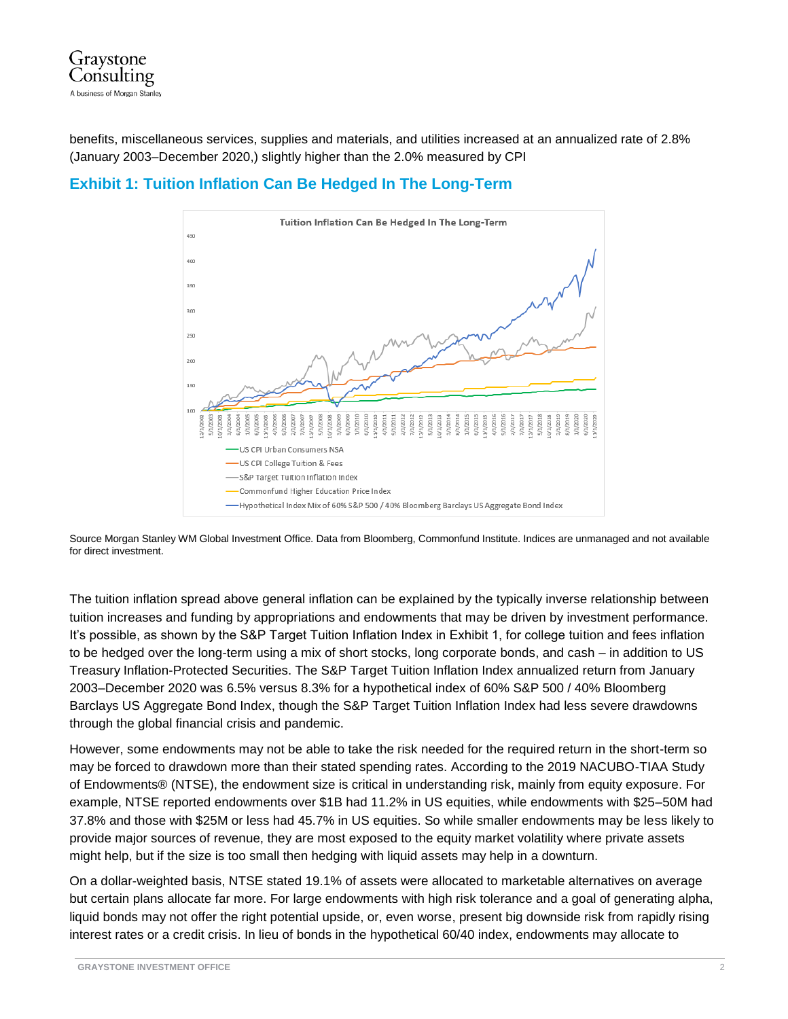

benefits, miscellaneous services, supplies and materials, and utilities increased at an annualized rate of 2.8% (January 2003–December 2020,) slightly higher than the 2.0% measured by CPI





Source Morgan Stanley WM Global Investment Office. Data from Bloomberg, Commonfund Institute. Indices are unmanaged and not available for direct investment.

The tuition inflation spread above general inflation can be explained by the typically inverse relationship between tuition increases and funding by appropriations and endowments that may be driven by investment performance. It's possible, as shown by the S&P Target Tuition Inflation Index in Exhibit 1, for college tuition and fees inflation to be hedged over the long-term using a mix of short stocks, long corporate bonds, and cash – in addition to US Treasury Inflation-Protected Securities. The S&P Target Tuition Inflation Index annualized return from January 2003–December 2020 was 6.5% versus 8.3% for a hypothetical index of 60% S&P 500 / 40% Bloomberg Barclays US Aggregate Bond Index, though the S&P Target Tuition Inflation Index had less severe drawdowns through the global financial crisis and pandemic.

However, some endowments may not be able to take the risk needed for the required return in the short-term so may be forced to drawdown more than their stated spending rates. According to the 2019 NACUBO-TIAA Study of Endowments® (NTSE), the endowment size is critical in understanding risk, mainly from equity exposure. For example, NTSE reported endowments over \$1B had 11.2% in US equities, while endowments with \$25–50M had 37.8% and those with \$25M or less had 45.7% in US equities. So while smaller endowments may be less likely to provide major sources of revenue, they are most exposed to the equity market volatility where private assets might help, but if the size is too small then hedging with liquid assets may help in a downturn.

On a dollar-weighted basis, NTSE stated 19.1% of assets were allocated to marketable alternatives on average but certain plans allocate far more. For large endowments with high risk tolerance and a goal of generating alpha, liquid bonds may not offer the right potential upside, or, even worse, present big downside risk from rapidly rising interest rates or a credit crisis. In lieu of bonds in the hypothetical 60/40 index, endowments may allocate to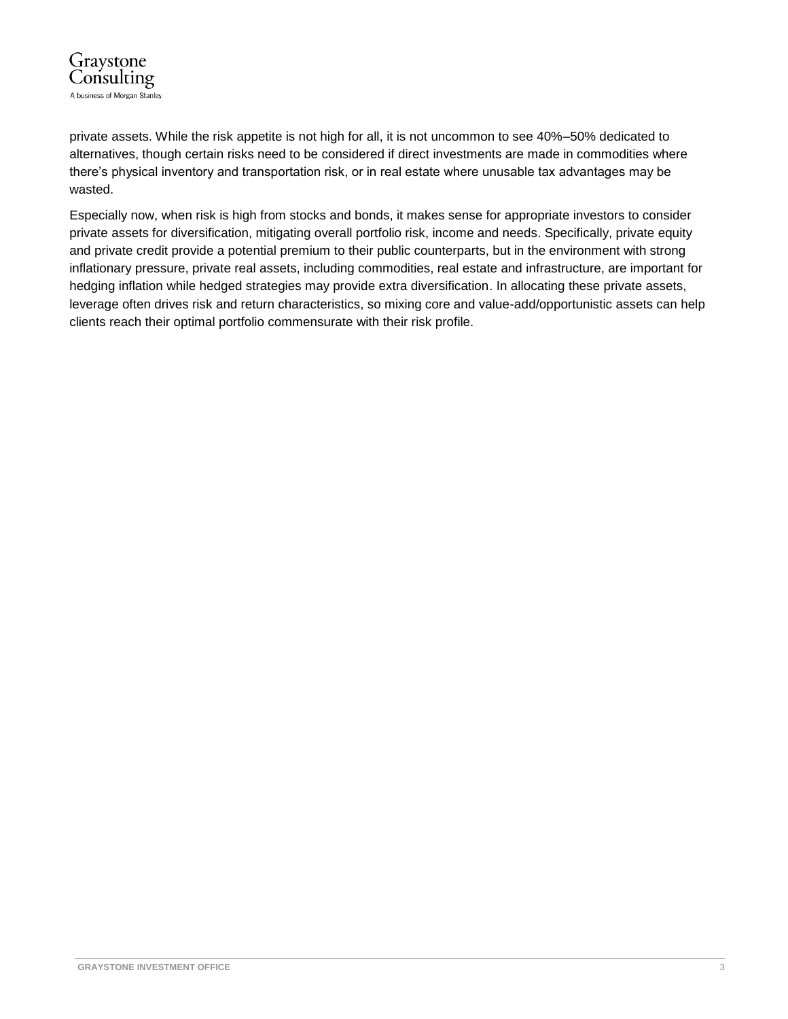

private assets. While the risk appetite is not high for all, it is not uncommon to see 40%–50% dedicated to alternatives, though certain risks need to be considered if direct investments are made in commodities where there's physical inventory and transportation risk, or in real estate where unusable tax advantages may be wasted.

Especially now, when risk is high from stocks and bonds, it makes sense for appropriate investors to consider private assets for diversification, mitigating overall portfolio risk, income and needs. Specifically, private equity and private credit provide a potential premium to their public counterparts, but in the environment with strong inflationary pressure, private real assets, including commodities, real estate and infrastructure, are important for hedging inflation while hedged strategies may provide extra diversification. In allocating these private assets, leverage often drives risk and return characteristics, so mixing core and value-add/opportunistic assets can help clients reach their optimal portfolio commensurate with their risk profile.